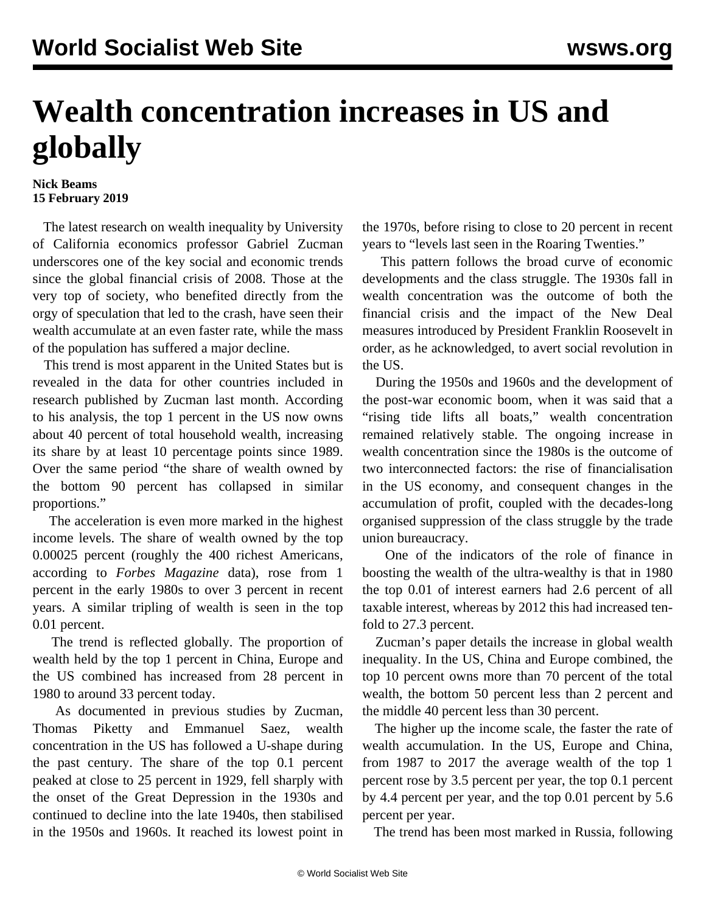## **Wealth concentration increases in US and globally**

## **Nick Beams 15 February 2019**

 The latest research on wealth inequality by University of California economics professor Gabriel Zucman underscores one of the key social and economic trends since the global financial crisis of 2008. Those at the very top of society, who benefited directly from the orgy of speculation that led to the crash, have seen their wealth accumulate at an even faster rate, while the mass of the population has suffered a major decline.

 This trend is most apparent in the United States but is revealed in the data for other countries included in research published by Zucman last month. According to his analysis, the top 1 percent in the US now owns about 40 percent of total household wealth, increasing its share by at least 10 percentage points since 1989. Over the same period "the share of wealth owned by the bottom 90 percent has collapsed in similar proportions."

 The acceleration is even more marked in the highest income levels. The share of wealth owned by the top 0.00025 percent (roughly the 400 richest Americans, according to *Forbes Magazine* data), rose from 1 percent in the early 1980s to over 3 percent in recent years. A similar tripling of wealth is seen in the top 0.01 percent.

 The trend is reflected globally. The proportion of wealth held by the top 1 percent in China, Europe and the US combined has increased from 28 percent in 1980 to around 33 percent today.

 As documented in previous studies by Zucman, Thomas Piketty and Emmanuel Saez, wealth concentration in the US has followed a U-shape during the past century. The share of the top 0.1 percent peaked at close to 25 percent in 1929, fell sharply with the onset of the Great Depression in the 1930s and continued to decline into the late 1940s, then stabilised in the 1950s and 1960s. It reached its lowest point in

the 1970s, before rising to close to 20 percent in recent years to "levels last seen in the Roaring Twenties."

 This pattern follows the broad curve of economic developments and the class struggle. The 1930s fall in wealth concentration was the outcome of both the financial crisis and the impact of the New Deal measures introduced by President Franklin Roosevelt in order, as he acknowledged, to avert social revolution in the US.

 During the 1950s and 1960s and the development of the post-war economic boom, when it was said that a "rising tide lifts all boats," wealth concentration remained relatively stable. The ongoing increase in wealth concentration since the 1980s is the outcome of two interconnected factors: the rise of financialisation in the US economy, and consequent changes in the accumulation of profit, coupled with the decades-long organised suppression of the class struggle by the trade union bureaucracy.

 One of the indicators of the role of finance in boosting the wealth of the ultra-wealthy is that in 1980 the top 0.01 of interest earners had 2.6 percent of all taxable interest, whereas by 2012 this had increased tenfold to 27.3 percent.

 Zucman's paper details the increase in global wealth inequality. In the US, China and Europe combined, the top 10 percent owns more than 70 percent of the total wealth, the bottom 50 percent less than 2 percent and the middle 40 percent less than 30 percent.

 The higher up the income scale, the faster the rate of wealth accumulation. In the US, Europe and China, from 1987 to 2017 the average wealth of the top 1 percent rose by 3.5 percent per year, the top 0.1 percent by 4.4 percent per year, and the top 0.01 percent by 5.6 percent per year.

The trend has been most marked in Russia, following